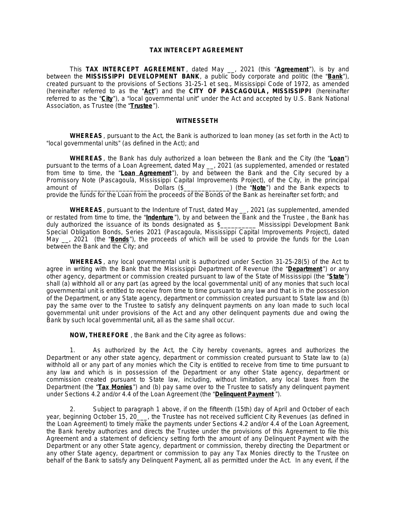#### **TAX INTERCEPT AGREEMENT**

This **TAX INTERCEPT AGREEMENT** , dated May \_\_, 2021 (this "**Agreement** "), is by and between the **MISSISSIPPI DEVELOPMENT BANK**, a public body corporate and politic (the "**Bank**"), created pursuant to the provisions of Sections 31-25-1 *et seq.,* Mississippi Code of 1972, as amended (hereinafter referred to as the "**Act**") and the **CITY OF PASCAGOULA , MISSISSIPPI** (hereinafter referred to as the "**City**"), a "local governmental unit" under the Act and accepted by U.S. Bank National Association, as Trustee (the "**Trustee**").

#### **WITNESSETH**

**WHEREAS**, pursuant to the Act, the Bank is authorized to loan money (as set forth in the Act) to "local governmental units" (as defined in the Act); and

**WHEREAS**, the Bank has duly authorized a loan between the Bank and the City (the "**Loan**") pursuant to the terms of a Loan Agreement, dated May \_\_, 2021 (as supplemented, amended or restated from time to time, the "**Loan Agreement** "), by and between the Bank and the City secured by a Promissory Note (Pascagoula, Mississippi Capital Improvements Project), of the City, in the principal amount of \_\_\_\_\_\_\_\_\_\_\_\_\_\_\_\_\_\_\_\_ Dollars (\$\_\_\_\_\_\_\_\_\_\_\_\_\_) (the "**Note**") and the Bank expects to provide the funds for the Loan from the proceeds of the Bonds of the Bank as hereinafter set forth; and

**WHEREAS**, pursuant to the Indenture of Trust, dated May \_\_, 2021 (as supplemented, amended or restated from time to time, the "**Indenture** "), by and between the Bank and the Trustee , the Bank has duly authorized the issuance of its bonds designated as \$\_\_\_\_\_\_\_\_\_\_ Mississippi Development Bank Special Obligation Bonds, Series 2021 (Pascagoula, Mississippi Capital Improvements Project), dated May \_\_, 2021 (the "**Bonds**"), the proceeds of which will be used to provide the funds for the Loan between the Bank and the City; and

**WHEREAS**, any local governmental unit is authorized under Section 31-25-28(5) of the Act to agree in writing with the Bank that the Mississippi Department of Revenue (the "**Department** ") or any other agency, department or commission created pursuant to law of the State of Mississippi (the "**State**") shall (a) withhold all or any part (as agreed by the local governmental unit) of any monies that such local governmental unit is entitled to receive from time to time pursuant to any law and that is in the possession of the Department, or any State agency, department or commission created pursuant to State law and (b) pay the same over to the Trustee to satisfy any delinquent payments on any loan made to such local governmental unit under provisions of the Act and any other delinquent payments due and owing the Bank by such local governmental unit, all as the same shall occur.

**NOW, THEREFORE** , the Bank and the City agree as follows:

1. As authorized by the Act, the City hereby covenants, agrees and authorizes the Department or any other state agency, department or commission created pursuant to State law to (a) withhold all or any part of any monies which the City is entitled to receive from time to time pursuant to any law and which is in possession of the Department or any other State agency, department or commission created pursuant to State law, including, without limitation, any local taxes from the Department (the "**Tax Monies**") and (b) pay same over to the Trustee to satisfy any delinquent payment under Sections 4.2 and/or 4.4 of the Loan Agreement (the "**Delinquent Payment** ").

2. Subject to paragraph 1 above, if on the fifteenth (15th) day of April and October of each year, beginning October 15, 20\_\_\_, the Trustee has not received sufficient City Revenues (as defined in the Loan Agreement) to timely make the payments under Sections 4.2 and/or 4.4 of the Loan Agreement, the Bank hereby authorizes and directs the Trustee under the provisions of this Agreement to file this Agreement and a statement of deficiency setting forth the amount of any Delinquent Payment with the Department or any other State agency, department or commission, thereby directing the Department or any other State agency, department or commission to pay any Tax Monies directly to the Trustee on behalf of the Bank to satisfy any Delinquent Payment, all as permitted under the Act. In any event, if the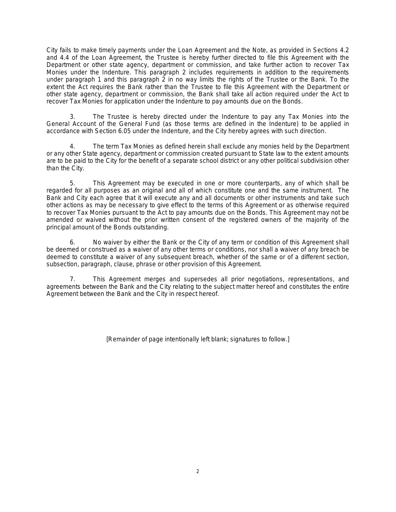City fails to make timely payments under the Loan Agreement and the Note, as provided in Sections 4.2 and 4.4 of the Loan Agreement, the Trustee is hereby further directed to file this Agreement with the Department or other state agency, department or commission, and take further action to recover Tax Monies under the Indenture. This paragraph 2 includes requirements in addition to the requirements under paragraph 1 and this paragraph 2 in no way limits the rights of the Trustee or the Bank. To the extent the Act requires the Bank rather than the Trustee to file this Agreement with the Department or other state agency, department or commission, the Bank shall take all action required under the Act to recover Tax Monies for application under the Indenture to pay amounts due on the Bonds.

3. The Trustee is hereby directed under the Indenture to pay any Tax Monies into the General Account of the General Fund (as those terms are defined in the Indenture) to be applied in accordance with Section 6.05 under the Indenture, and the City hereby agrees with such direction.

4. The term Tax Monies as defined herein shall exclude any monies held by the Department or any other State agency, department or commission created pursuant to State law to the extent amounts are to be paid to the City for the benefit of a separate school district or any other political subdivision other than the City.

5. This Agreement may be executed in one or more counterparts, any of which shall be regarded for all purposes as an original and all of which constitute one and the same instrument. The Bank and City each agree that it will execute any and all documents or other instruments and take such other actions as may be necessary to give effect to the terms of this Agreement or as otherwise required to recover Tax Monies pursuant to the Act to pay amounts due on the Bonds. This Agreement may not be amended or waived without the prior written consent of the registered owners of the majority of the principal amount of the Bonds outstanding.

6. No waiver by either the Bank or the City of any term or condition of this Agreement shall be deemed or construed as a waiver of any other terms or conditions, nor shall a waiver of any breach be deemed to constitute a waiver of any subsequent breach, whether of the same or of a different section, subsection, paragraph, clause, phrase or other provision of this Agreement.

7. This Agreement merges and supersedes all prior negotiations, representations, and agreements between the Bank and the City relating to the subject matter hereof and constitutes the entire Agreement between the Bank and the City in respect hereof.

[Remainder of page intentionally left blank; signatures to follow.]